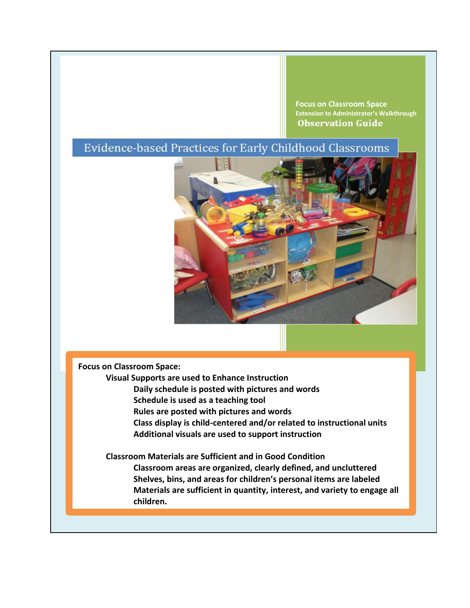**Focus on Classroom Space Extension to Administrator's WalkthroughObservation Guide** 

# Evidence-based Practices for Early Childhood Classrooms



**Focus on Classroom Space:** 

**Visual Supports are used to Enhance Instruction Daily schedule is posted with pictures and words Schedule is used as a teaching tool Rules are posted with pictures and words Class display is child-centered and/or related to instructional units**

**Additional visuals are used to support instruction**

**Classroom Materials are Sufficient and in Good Condition Classroom areas are organized, clearly defined, and uncluttered Shelves, bins, and areas for children's personal items are labeled Materials are sufficient in quantity, interest, and variety to engage all children.**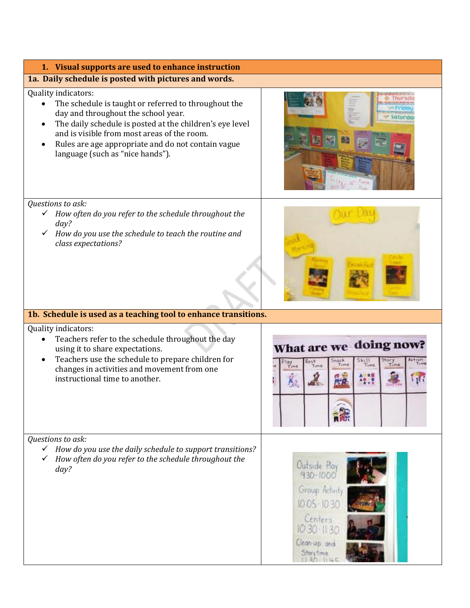| 1. Visual supports are used to enhance instruction                                                                                                                                                                                                                                                                                   |                                                                                                                                  |
|--------------------------------------------------------------------------------------------------------------------------------------------------------------------------------------------------------------------------------------------------------------------------------------------------------------------------------------|----------------------------------------------------------------------------------------------------------------------------------|
| 1a. Daily schedule is posted with pictures and words.                                                                                                                                                                                                                                                                                |                                                                                                                                  |
| Quality indicators:<br>The schedule is taught or referred to throughout the<br>day and throughout the school year.<br>The daily schedule is posted at the children's eye level<br>$\bullet$<br>and is visible from most areas of the room.<br>Rules are age appropriate and do not contain vague<br>language (such as "nice hands"). |                                                                                                                                  |
| Questions to ask:<br>How often do you refer to the schedule throughout the<br>$\checkmark$<br>day?<br>How do you use the schedule to teach the routine and<br>class expectations?                                                                                                                                                    |                                                                                                                                  |
| 1b. Schedule is used as a teaching tool to enhance transitions.                                                                                                                                                                                                                                                                      |                                                                                                                                  |
| Quality indicators:<br>Teachers refer to the schedule throughout the day<br>$\bullet$<br>using it to share expectations.<br>Teachers use the schedule to prepare children for<br>$\bullet$<br>changes in activities and movement from one<br>instructional time to another.                                                          | What are we doing now?<br>Action<br>itory<br>Time<br>Snack<br>Time<br>Rest<br>$\frac{\alpha y}{1 \text{ cm} t}$<br>Tema<br>Time. |
| Questions to ask:<br>How do you use the daily schedule to support transitions?<br>$\checkmark$<br>How often do you refer to the schedule throughout the<br>day?                                                                                                                                                                      | Outside Play<br>$930 - 100$<br>Group Activi<br>10:05 10<br>Centers<br>Clean-up and<br><b>Story Time</b>                          |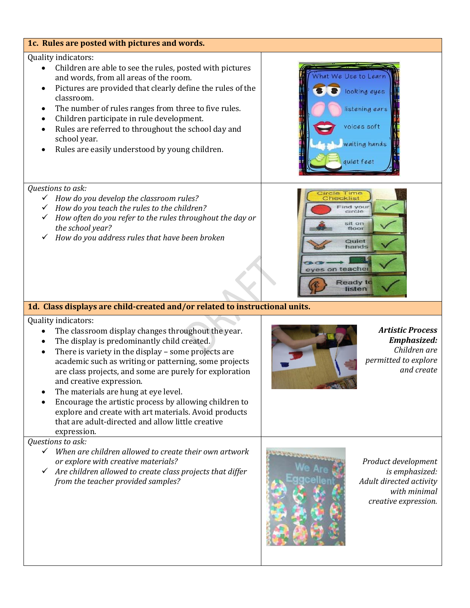#### **1c. Rules are posted with pictures and words.** Quality indicators: Children are able to see the rules, posted with pictures We Use to Lear and words, from all areas of the room. Pictures are provided that clearly define the rules of the looking eyes classroom. The number of rules ranges from three to five rules. listening ears Children participate in rule development. voices soft Rules are referred to throughout the school day and school year. vaiting hands Rules are easily understood by young children. quiet feet *Questions to ask:* Time<br>klist *How do you develop the classroom rules?* Find your<br>circle *How do you teach the rules to the children? How often do you refer to the rules throughout the day or*  sit on *the school year?* floor *How do you address rules that have been broken* Quiet hands on teacher Ready to listen **1d. Class displays are child-created and/or related to instructional units.** Quality indicators: The classroom display changes throughout the year. *Artistic Process Emphasized:* The display is predominantly child created. *Children are*  There is variety in the display – some projects are *permitted to explore*  academic such as writing or patterning, some projects *and create* are class projects, and some are purely for exploration and creative expression. The materials are hung at eye level. Encourage the artistic process by allowing children to explore and create with art materials. Avoid products that are adult-directed and allow little creative expression. *Questions to ask: When are children allowed to create their own artwork or explore with creative materials? Product development Are children allowed to create class projects that differ is emphasized: from the teacher provided samples? Adult directed activity with minimal creative expression.*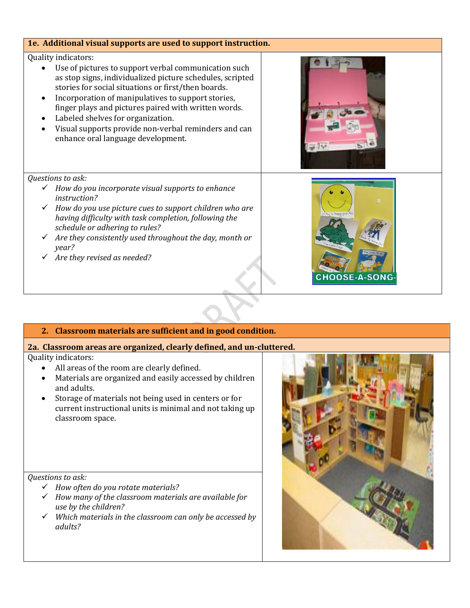#### **1e. Additional visual supports are used to support instruction.**

#### Quality indicators:

- Use of pictures to support verbal communication such as stop signs, individualized picture schedules, scripted stories for social situations or first/then boards.
- Incorporation of manipulatives to support stories, finger plays and pictures paired with written words.
- Labeled shelves for organization.
- Visual supports provide non-verbal reminders and can enhance oral language development.



#### *Questions to ask:*

- *How do you incorporate visual supports to enhance instruction?*
- *How do you use picture cues to support children who are having difficulty with task completion, following the schedule or adhering to rules?*
- *Are they consistently used throughout the day, month or year?*
- *Are they revised as needed?*



## **2. Classroom materials are sufficient and in good condition.**

## **2a. Classroom areas are organized, clearly defined, and un-cluttered.**

Quality indicators:

- All areas of the room are clearly defined.
- Materials are organized and easily accessed by children and adults.
- Storage of materials not being used in centers or for current instructional units is minimal and not taking up classroom space.

*Questions to ask:*

- *How often do you rotate materials?*
- *How many of the classroom materials are available for use by the children?*
- *Which materials in the classroom can only be accessed by adults?*